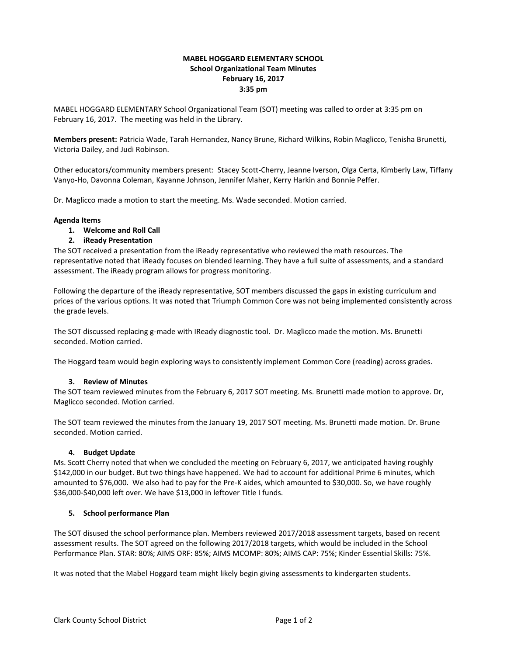# **MABEL HOGGARD ELEMENTARY SCHOOL School Organizational Team Minutes February 16, 2017 3:35 pm**

MABEL HOGGARD ELEMENTARY School Organizational Team (SOT) meeting was called to order at 3:35 pm on February 16, 2017. The meeting was held in the Library.

**Members present:** Patricia Wade, Tarah Hernandez, Nancy Brune, Richard Wilkins, Robin Maglicco, Tenisha Brunetti, Victoria Dailey, and Judi Robinson.

Other educators/community members present: Stacey Scott-Cherry, Jeanne Iverson, Olga Certa, Kimberly Law, Tiffany Vanyo-Ho, Davonna Coleman, Kayanne Johnson, Jennifer Maher, Kerry Harkin and Bonnie Peffer.

Dr. Maglicco made a motion to start the meeting. Ms. Wade seconded. Motion carried.

### **Agenda Items**

**1. Welcome and Roll Call**

# **2. iReady Presentation**

The SOT received a presentation from the iReady representative who reviewed the math resources. The representative noted that iReady focuses on blended learning. They have a full suite of assessments, and a standard assessment. The iReady program allows for progress monitoring.

Following the departure of the iReady representative, SOT members discussed the gaps in existing curriculum and prices of the various options. It was noted that Triumph Common Core was not being implemented consistently across the grade levels.

The SOT discussed replacing g-made with IReady diagnostic tool. Dr. Maglicco made the motion. Ms. Brunetti seconded. Motion carried.

The Hoggard team would begin exploring ways to consistently implement Common Core (reading) across grades.

### **3. Review of Minutes**

The SOT team reviewed minutes from the February 6, 2017 SOT meeting. Ms. Brunetti made motion to approve. Dr, Maglicco seconded. Motion carried.

The SOT team reviewed the minutes from the January 19, 2017 SOT meeting. Ms. Brunetti made motion. Dr. Brune seconded. Motion carried.

### **4. Budget Update**

Ms. Scott Cherry noted that when we concluded the meeting on February 6, 2017, we anticipated having roughly \$142,000 in our budget. But two things have happened. We had to account for additional Prime 6 minutes, which amounted to \$76,000. We also had to pay for the Pre-K aides, which amounted to \$30,000. So, we have roughly \$36,000-\$40,000 left over. We have \$13,000 in leftover Title I funds.

### **5. School performance Plan**

The SOT disused the school performance plan. Members reviewed 2017/2018 assessment targets, based on recent assessment results. The SOT agreed on the following 2017/2018 targets, which would be included in the School Performance Plan. STAR: 80%; AIMS ORF: 85%; AIMS MCOMP: 80%; AIMS CAP: 75%; Kinder Essential Skills: 75%.

It was noted that the Mabel Hoggard team might likely begin giving assessments to kindergarten students.